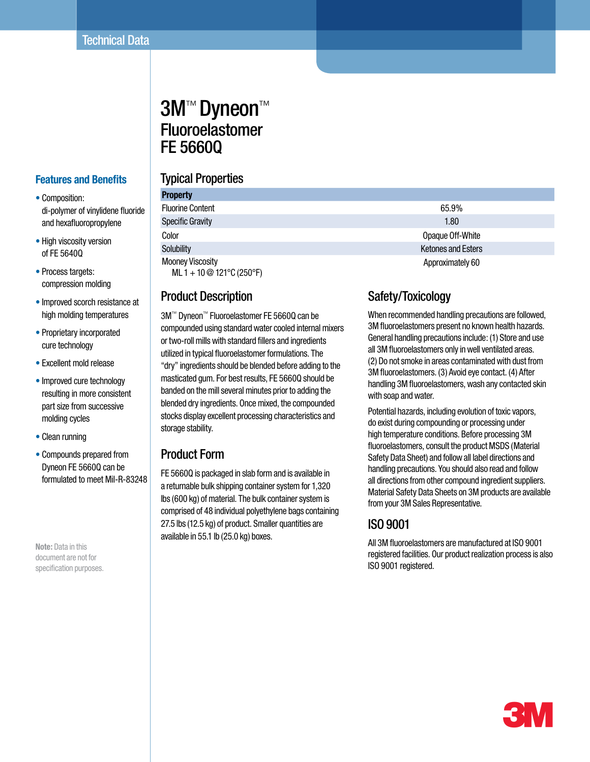# 3M™ Dyneon™ Fluoroelastomer FE 5660Q

#### **Features and Benefits**

- Composition: di-polymer of vinylidene fluoride and hexafluoropropylene
- High viscosity version of FE 5640Q
- Process targets: compression molding
- Improved scorch resistance at high molding temperatures
- Proprietary incorporated cure technology
- Excellent mold release
- Improved cure technology resulting in more consistent part size from successive molding cycles
- Clean running
- Compounds prepared from Dyneon FE 5660Q can be formulated to meet MiI-R-83248

**Note:** Data in this document are not for specification purposes.

## Typical Properties

| <b>Property</b>                                        |                           |  |  |
|--------------------------------------------------------|---------------------------|--|--|
| <b>Fluorine Content</b>                                | 65.9%                     |  |  |
| <b>Specific Gravity</b>                                | 1.80                      |  |  |
| Color                                                  | Opaque Off-White          |  |  |
| Solubility                                             | <b>Ketones and Esters</b> |  |  |
| <b>Mooney Viscosity</b><br>ML 1 + 10 $@$ 121°C (250°F) | Approximately 60          |  |  |

#### Product Description

3M™ Dyneon™ Fluoroelastomer FE 5660Q can be compounded using standard water cooled internal mixers or two-roll mills with standard fillers and ingredients utilized in typical fluoroelastomer formulations. The "dry" ingredients should be blended before adding to the masticated gum. For best results, FE 5660Q should be banded on the mill several minutes prior to adding the blended dry ingredients. Once mixed, the compounded stocks display excellent processing characteristics and storage stability.

#### Product Form

FE 5660Q is packaged in slab form and is available in a returnable bulk shipping container system for 1,320 lbs (600 kg) of material. The bulk container system is comprised of 48 individual polyethylene bags containing 27.5 lbs (12.5 kg) of product. Smaller quantities are available in 55.1 lb (25.0 kg) boxes.

## Safety/Toxicology

When recommended handling precautions are followed, 3M fluoroelastomers present no known health hazards. General handling precautions include: (1) Store and use all 3M fluoroelastomers only in well ventilated areas. (2) Do not smoke in areas contaminated with dust from 3M fluoroelastomers. (3) Avoid eye contact. (4) After handling 3M fluoroelastomers, wash any contacted skin with soap and water.

Potential hazards, including evolution of toxic vapors, do exist during compounding or processing under high temperature conditions. Before processing 3M fluoroelastomers, consult the product MSDS (Material Safety Data Sheet) and follow all label directions and handling precautions. You should also read and follow all directions from other compound ingredient suppliers. Material Safety Data Sheets on 3M products are available from your 3M Sales Representative.

### ISO 9001

All 3M fluoroelastomers are manufactured at ISO 9001 registered facilities. Our product realization process is also ISO 9001 registered.